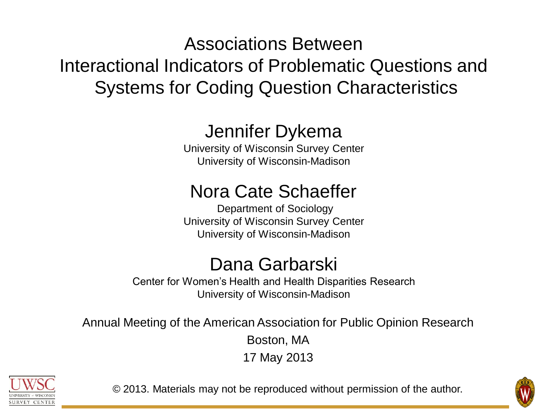# Associations Between Interactional Indicators of Problematic Questions and Systems for Coding Question Characteristics

# Jennifer Dykema

University of Wisconsin Survey Center University of Wisconsin-Madison

# Nora Cate Schaeffer

Department of Sociology University of Wisconsin Survey Center University of Wisconsin-Madison

## Dana Garbarski

Center for Women's Health and Health Disparities Research University of Wisconsin-Madison

Annual Meeting of the American Association for Public Opinion Research Boston, MA 17 May 2013



© 2013. Materials may not be reproduced without permission of the author.

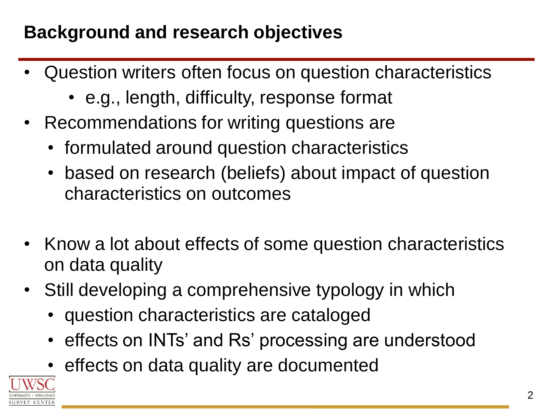# **Background and research objectives**

- Question writers often focus on question characteristics
	- e.g., length, difficulty, response format
- Recommendations for writing questions are
	- formulated around question characteristics
	- based on research (beliefs) about impact of question characteristics on outcomes
- Know a lot about effects of some question characteristics on data quality
- Still developing a comprehensive typology in which
	- question characteristics are cataloged
	- effects on INTs' and Rs' processing are understood
	- effects on data quality are documented

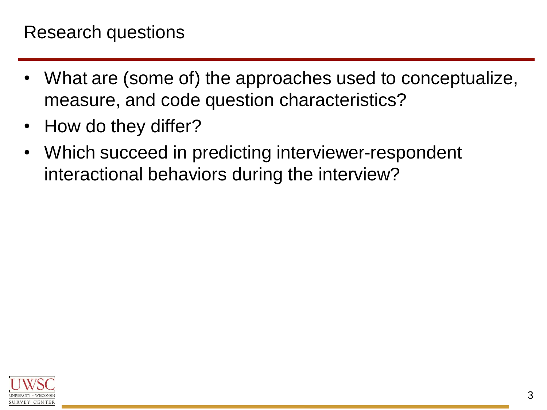- What are (some of) the approaches used to conceptualize, measure, and code question characteristics?
- How do they differ?
- Which succeed in predicting interviewer-respondent interactional behaviors during the interview?

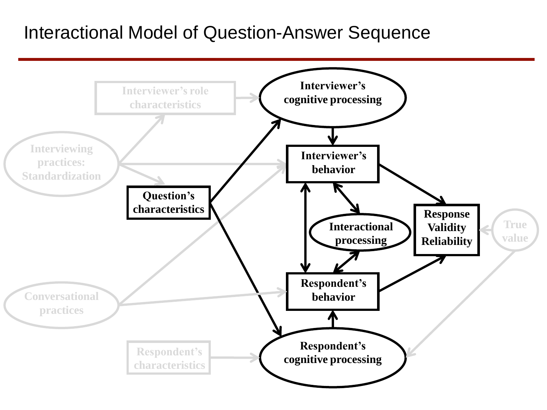#### Interactional Model of Question-Answer Sequence

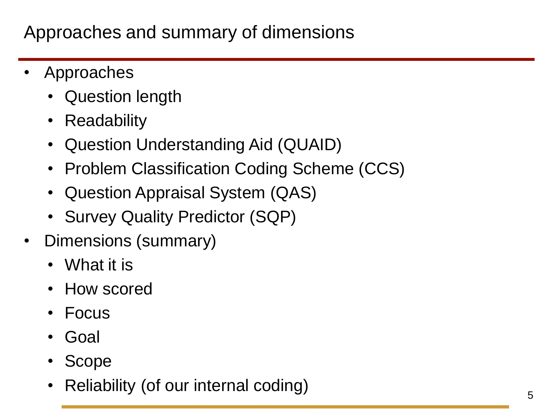## Approaches and summary of dimensions

- **Approaches** 
	- Question length
	- Readability
	- Question Understanding Aid (QUAID)
	- Problem Classification Coding Scheme (CCS)
	- Question Appraisal System (QAS)
	- Survey Quality Predictor (SQP)
- Dimensions (summary)
	- What it is
	- How scored
	- Focus
	- Goal
	- Scope
	- Reliability (of our internal coding)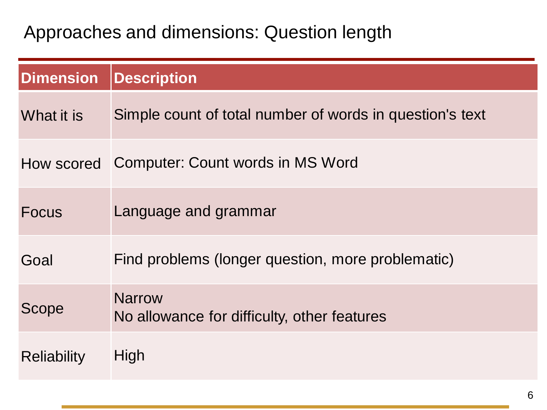#### Approaches and dimensions: Question length

| <b>Dimension</b>   | <b>Description</b>                                           |
|--------------------|--------------------------------------------------------------|
| What it is         | Simple count of total number of words in question's text     |
|                    | How scored Computer: Count words in MS Word                  |
| <b>Focus</b>       | Language and grammar                                         |
| Goal               | Find problems (longer question, more problematic)            |
| <b>Scope</b>       | <b>Narrow</b><br>No allowance for difficulty, other features |
| <b>Reliability</b> | High                                                         |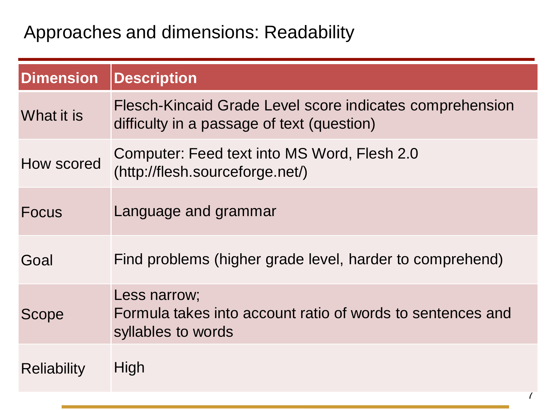#### Approaches and dimensions: Readability

| <b>Dimension</b>   | <b>Description</b>                                                                                     |
|--------------------|--------------------------------------------------------------------------------------------------------|
| What it is         | Flesch-Kincaid Grade Level score indicates comprehension<br>difficulty in a passage of text (question) |
| How scored         | Computer: Feed text into MS Word, Flesh 2.0<br>(http://flesh.sourceforge.net/)                         |
| <b>Focus</b>       | Language and grammar                                                                                   |
| Goal               | Find problems (higher grade level, harder to comprehend)                                               |
| Scope              | Less narrow;<br>Formula takes into account ratio of words to sentences and<br>syllables to words       |
| <b>Reliability</b> | High                                                                                                   |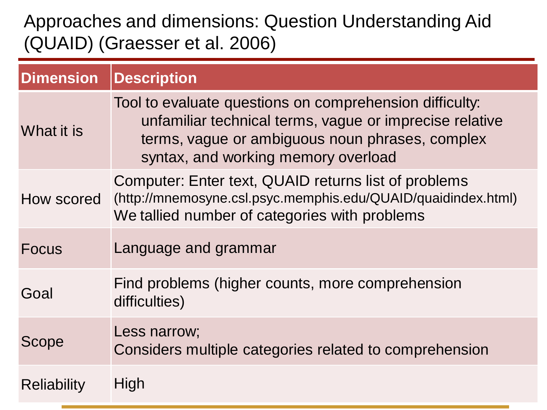### Approaches and dimensions: Question Understanding Aid (QUAID) (Graesser et al. 2006)

| <b>Dimension</b> | <b>Description</b>                                                                                                                                                                                           |
|------------------|--------------------------------------------------------------------------------------------------------------------------------------------------------------------------------------------------------------|
| What it is       | Tool to evaluate questions on comprehension difficulty:<br>unfamiliar technical terms, vague or imprecise relative<br>terms, vague or ambiguous noun phrases, complex<br>syntax, and working memory overload |
| How scored       | Computer: Enter text, QUAID returns list of problems<br>(http://mnemosyne.csl.psyc.memphis.edu/QUAID/quaidindex.html)<br>We tallied number of categories with problems                                       |
| <b>Focus</b>     | Language and grammar                                                                                                                                                                                         |
| Goal             | Find problems (higher counts, more comprehension<br>difficulties)                                                                                                                                            |
| Scope            | Less narrow;<br>Considers multiple categories related to comprehension                                                                                                                                       |
| Reliability      | High                                                                                                                                                                                                         |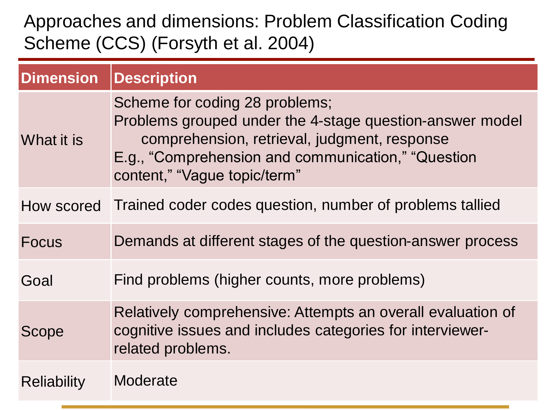### Approaches and dimensions: Problem Classification Coding Scheme (CCS) (Forsyth et al. 2004)

| <b>Dimension</b> | <b>Description</b>                                                                                                                                                                                                               |
|------------------|----------------------------------------------------------------------------------------------------------------------------------------------------------------------------------------------------------------------------------|
| What it is       | Scheme for coding 28 problems;<br>Problems grouped under the 4-stage question-answer model<br>comprehension, retrieval, judgment, response<br>E.g., "Comprehension and communication," "Question<br>content," "Vague topic/term" |
| How scored       | Trained coder codes question, number of problems tallied                                                                                                                                                                         |
| <b>Focus</b>     | Demands at different stages of the question-answer process                                                                                                                                                                       |
| Goal             | Find problems (higher counts, more problems)                                                                                                                                                                                     |
| Scope            | Relatively comprehensive: Attempts an overall evaluation of<br>cognitive issues and includes categories for interviewer-<br>related problems.                                                                                    |
| Reliability      | Moderate                                                                                                                                                                                                                         |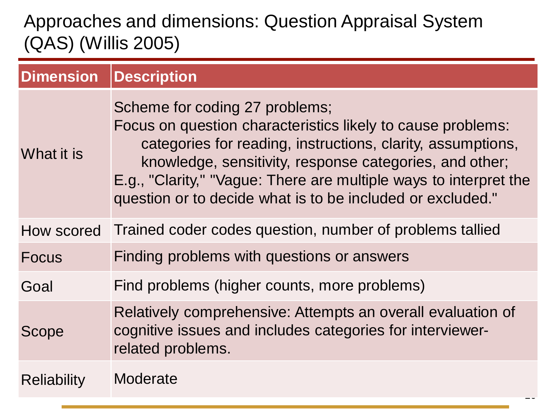## Approaches and dimensions: Question Appraisal System (QAS) (Willis 2005)

| <b>Dimension</b>   | <b>Description</b>                                                                                                                                                                                                                                                                                                                                         |
|--------------------|------------------------------------------------------------------------------------------------------------------------------------------------------------------------------------------------------------------------------------------------------------------------------------------------------------------------------------------------------------|
| What it is         | Scheme for coding 27 problems;<br>Focus on question characteristics likely to cause problems:<br>categories for reading, instructions, clarity, assumptions,<br>knowledge, sensitivity, response categories, and other;<br>E.g., "Clarity," "Vague: There are multiple ways to interpret the<br>question or to decide what is to be included or excluded." |
| How scored         | Trained coder codes question, number of problems tallied                                                                                                                                                                                                                                                                                                   |
| <b>Focus</b>       | Finding problems with questions or answers                                                                                                                                                                                                                                                                                                                 |
| Goal               | Find problems (higher counts, more problems)                                                                                                                                                                                                                                                                                                               |
| Scope              | Relatively comprehensive: Attempts an overall evaluation of<br>cognitive issues and includes categories for interviewer-<br>related problems.                                                                                                                                                                                                              |
| <b>Reliability</b> | Moderate                                                                                                                                                                                                                                                                                                                                                   |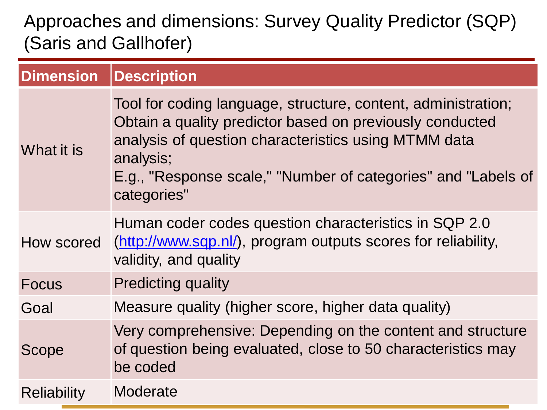### Approaches and dimensions: Survey Quality Predictor (SQP) (Saris and Gallhofer)

| <b>Dimension</b> | Description                                                                                                                                                                                                                                                                    |
|------------------|--------------------------------------------------------------------------------------------------------------------------------------------------------------------------------------------------------------------------------------------------------------------------------|
| What it is       | Tool for coding language, structure, content, administration;<br>Obtain a quality predictor based on previously conducted<br>analysis of question characteristics using MTMM data<br>analysis;<br>E.g., "Response scale," "Number of categories" and "Labels of<br>categories" |
| How scored       | Human coder codes question characteristics in SQP 2.0<br>(http://www.sqp.nl/), program outputs scores for reliability,<br>validity, and quality                                                                                                                                |
| <b>Focus</b>     | <b>Predicting quality</b>                                                                                                                                                                                                                                                      |
| Goal             | Measure quality (higher score, higher data quality)                                                                                                                                                                                                                            |
| <b>Scope</b>     | Very comprehensive: Depending on the content and structure<br>of question being evaluated, close to 50 characteristics may<br>be coded                                                                                                                                         |
| Reliability      | Moderate                                                                                                                                                                                                                                                                       |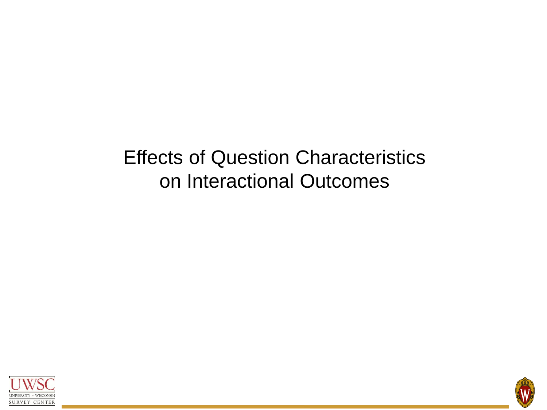# Effects of Question Characteristics on Interactional Outcomes



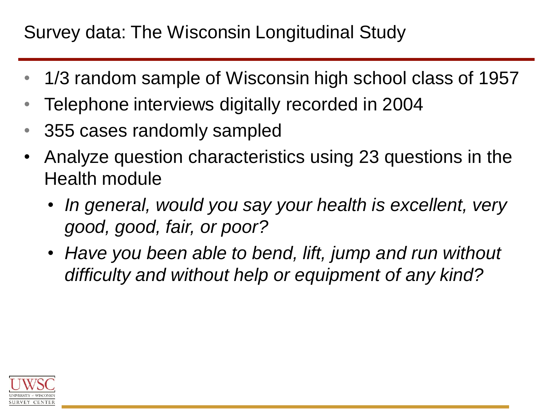## Survey data: The Wisconsin Longitudinal Study

- 1/3 random sample of Wisconsin high school class of 1957
- Telephone interviews digitally recorded in 2004
- 355 cases randomly sampled
- Analyze question characteristics using 23 questions in the Health module
	- *In general, would you say your health is excellent, very good, good, fair, or poor?*
	- *Have you been able to bend, lift, jump and run without difficulty and without help or equipment of any kind?*

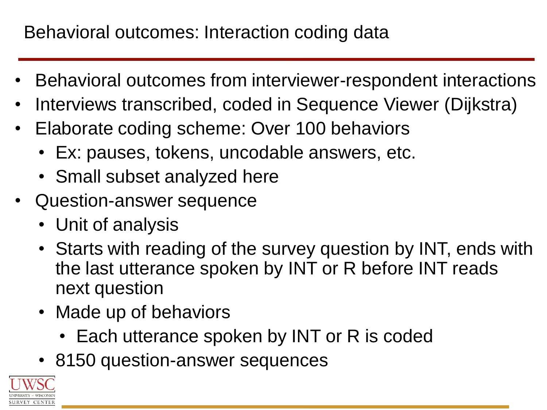## Behavioral outcomes: Interaction coding data

- Behavioral outcomes from interviewer-respondent interactions
- Interviews transcribed, coded in Sequence Viewer (Dijkstra)
- Elaborate coding scheme: Over 100 behaviors
	- Ex: pauses, tokens, uncodable answers, etc.
	- Small subset analyzed here
- Question-answer sequence
	- Unit of analysis
	- Starts with reading of the survey question by INT, ends with the last utterance spoken by INT or R before INT reads next question
	- Made up of behaviors
		- Each utterance spoken by INT or R is coded
	- 8150 question-answer sequences

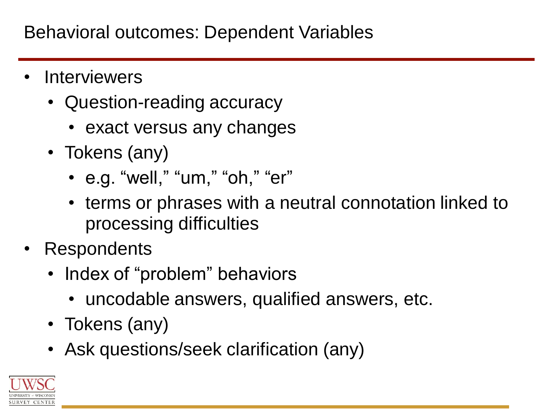- **Interviewers** 
	- Question-reading accuracy
		- exact versus any changes
	- Tokens (any)
		- e.g. "well," "um," "oh," "er"
		- terms or phrases with a neutral connotation linked to processing difficulties
- Respondents
	- Index of "problem" behaviors
		- uncodable answers, qualified answers, etc.
	- Tokens (any)
	- Ask questions/seek clarification (any)

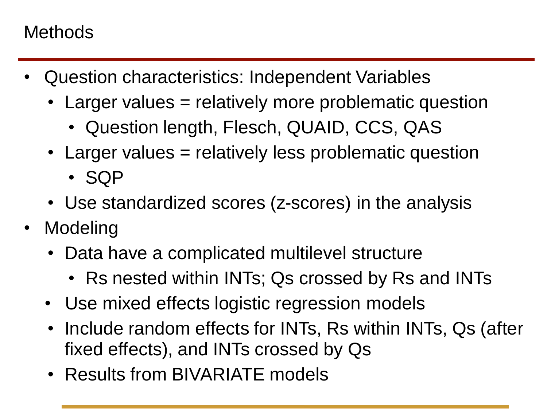#### **Methods**

- Question characteristics: Independent Variables
	- Larger values = relatively more problematic question
		- Question length, Flesch, QUAID, CCS, QAS
	- Larger values = relatively less problematic question
		- SQP
	- Use standardized scores (z-scores) in the analysis
- Modeling
	- Data have a complicated multilevel structure
		- Rs nested within INTs; Qs crossed by Rs and INTs
	- Use mixed effects logistic regression models
	- Include random effects for INTs, Rs within INTs, Qs (after fixed effects), and INTs crossed by Qs
	- Results from BIVARIATE models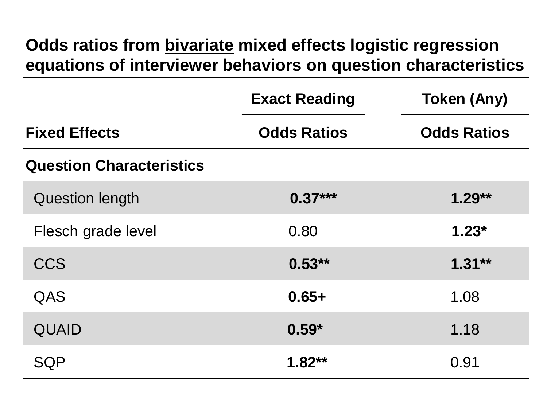#### **Odds ratios from bivariate mixed effects logistic regression equations of interviewer behaviors on question characteristics**

|                                 | <b>Exact Reading</b> | <b>Token (Any)</b> |
|---------------------------------|----------------------|--------------------|
| <b>Fixed Effects</b>            | <b>Odds Ratios</b>   | <b>Odds Ratios</b> |
| <b>Question Characteristics</b> |                      |                    |
| <b>Question length</b>          | $0.37***$            | $1.29**$           |
| Flesch grade level              | 0.80                 | $1.23*$            |
| CCS                             | $0.53**$             | $1.31**$           |
| QAS                             | $0.65+$              | 1.08               |
| <b>QUAID</b>                    | $0.59*$              | 1.18               |
| SQP                             | $1.82**$             | 0.91               |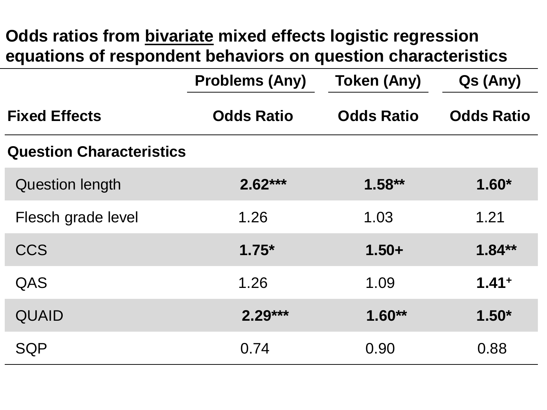#### **Odds ratios from bivariate mixed effects logistic regression equations of respondent behaviors on question characteristics**

|                                 | <b>Problems (Any)</b> | <b>Token (Any)</b> | Qs (Any)          |
|---------------------------------|-----------------------|--------------------|-------------------|
| <b>Fixed Effects</b>            | <b>Odds Ratio</b>     | <b>Odds Ratio</b>  | <b>Odds Ratio</b> |
| <b>Question Characteristics</b> |                       |                    |                   |
| <b>Question length</b>          | $2.62***$             | $1.58**$           | $1.60*$           |
| Flesch grade level              | 1.26                  | 1.03               | 1.21              |
| <b>CCS</b>                      | $1.75*$               | $1.50+$            | $1.84**$          |
| QAS                             | 1.26                  | 1.09               | $1.41+$           |
| <b>QUAID</b>                    | $2.29***$             | $1.60**$           | $1.50*$           |
| <b>SQP</b>                      | 0.74                  | 0.90               | 0.88              |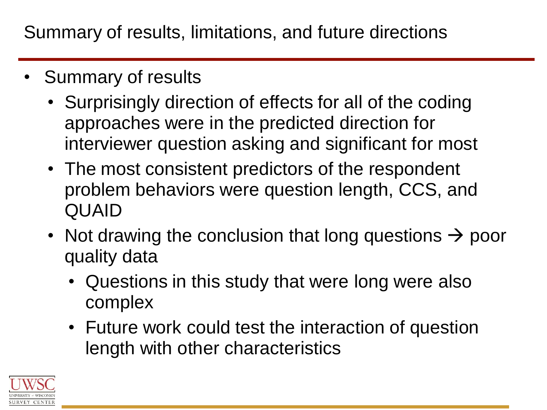Summary of results, limitations, and future directions

- Summary of results
	- Surprisingly direction of effects for all of the coding approaches were in the predicted direction for interviewer question asking and significant for most
	- The most consistent predictors of the respondent problem behaviors were question length, CCS, and QUAID
	- Not drawing the conclusion that long questions  $\rightarrow$  poor quality data
		- Questions in this study that were long were also complex
		- Future work could test the interaction of question length with other characteristics

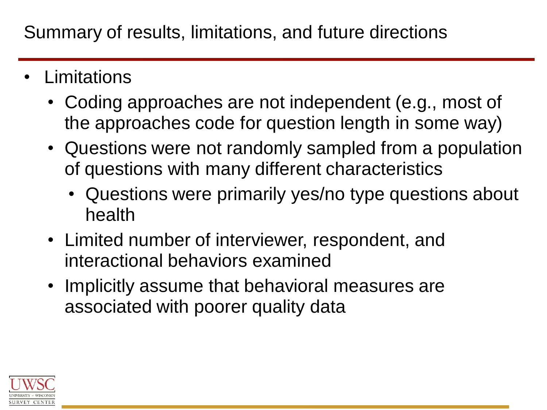- **Limitations** 
	- Coding approaches are not independent (e.g., most of the approaches code for question length in some way)
	- Questions were not randomly sampled from a population of questions with many different characteristics
		- Questions were primarily yes/no type questions about health
	- Limited number of interviewer, respondent, and interactional behaviors examined
	- Implicitly assume that behavioral measures are associated with poorer quality data

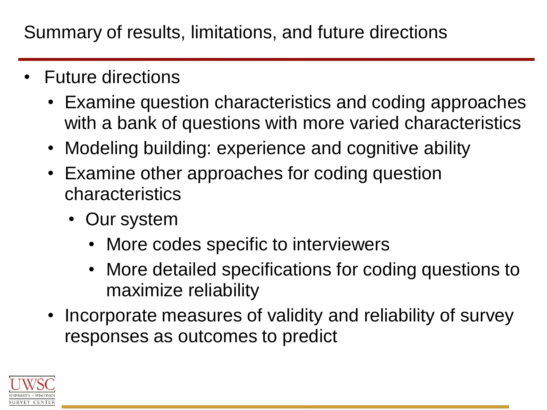Summary of results, limitations, and future directions

- Future directions
	- Examine question characteristics and coding approaches with a bank of questions with more varied characteristics
	- Modeling building: experience and cognitive ability
	- Examine other approaches for coding question characteristics
		- Our system
			- More codes specific to interviewers
			- More detailed specifications for coding questions to maximize reliability
	- Incorporate measures of validity and reliability of survey responses as outcomes to predict